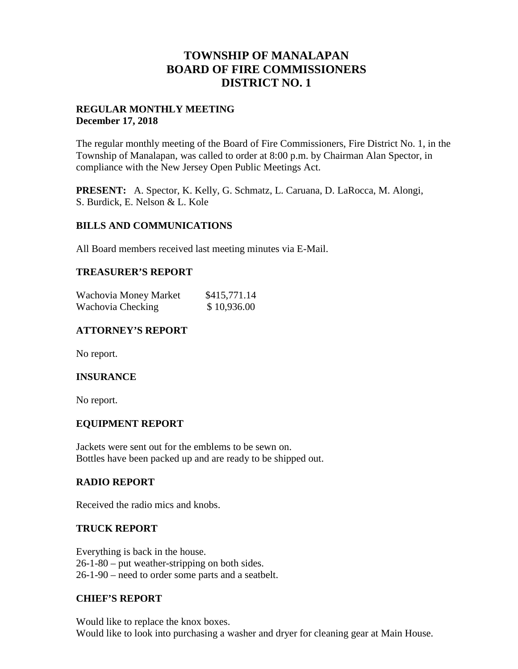## **TOWNSHIP OF MANALAPAN BOARD OF FIRE COMMISSIONERS DISTRICT NO. 1**

## **REGULAR MONTHLY MEETING December 17, 2018**

The regular monthly meeting of the Board of Fire Commissioners, Fire District No. 1, in the Township of Manalapan, was called to order at 8:00 p.m. by Chairman Alan Spector, in compliance with the New Jersey Open Public Meetings Act.

**PRESENT:** A. Spector, K. Kelly, G. Schmatz, L. Caruana, D. LaRocca, M. Alongi, S. Burdick, E. Nelson & L. Kole

#### **BILLS AND COMMUNICATIONS**

All Board members received last meeting minutes via E-Mail.

#### **TREASURER'S REPORT**

| Wachovia Money Market | \$415,771.14 |
|-----------------------|--------------|
| Wachovia Checking     | \$10,936.00  |

## **ATTORNEY'S REPORT**

No report.

#### **INSURANCE**

No report.

#### **EQUIPMENT REPORT**

Jackets were sent out for the emblems to be sewn on. Bottles have been packed up and are ready to be shipped out.

#### **RADIO REPORT**

Received the radio mics and knobs.

#### **TRUCK REPORT**

Everything is back in the house. 26-1-80 – put weather-stripping on both sides. 26-1-90 – need to order some parts and a seatbelt.

#### **CHIEF'S REPORT**

Would like to replace the knox boxes. Would like to look into purchasing a washer and dryer for cleaning gear at Main House.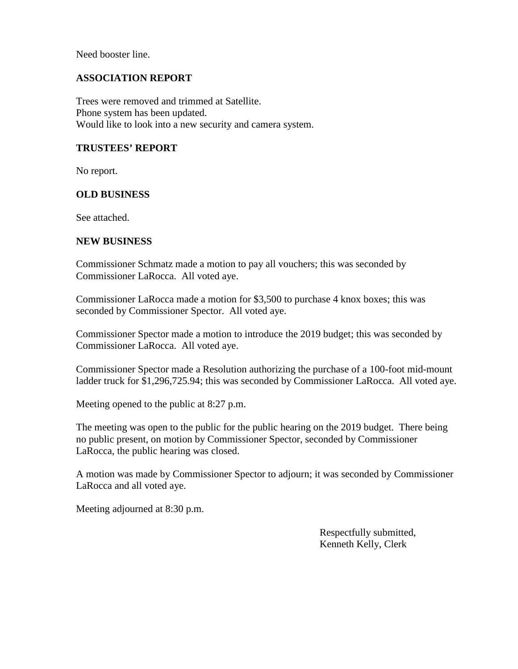Need booster line.

## **ASSOCIATION REPORT**

Trees were removed and trimmed at Satellite. Phone system has been updated. Would like to look into a new security and camera system.

#### **TRUSTEES' REPORT**

No report.

#### **OLD BUSINESS**

See attached.

#### **NEW BUSINESS**

Commissioner Schmatz made a motion to pay all vouchers; this was seconded by Commissioner LaRocca. All voted aye.

Commissioner LaRocca made a motion for \$3,500 to purchase 4 knox boxes; this was seconded by Commissioner Spector. All voted aye.

Commissioner Spector made a motion to introduce the 2019 budget; this was seconded by Commissioner LaRocca. All voted aye.

Commissioner Spector made a Resolution authorizing the purchase of a 100-foot mid-mount ladder truck for \$1,296,725.94; this was seconded by Commissioner LaRocca. All voted aye.

Meeting opened to the public at 8:27 p.m.

The meeting was open to the public for the public hearing on the 2019 budget. There being no public present, on motion by Commissioner Spector, seconded by Commissioner LaRocca, the public hearing was closed.

A motion was made by Commissioner Spector to adjourn; it was seconded by Commissioner LaRocca and all voted aye.

Meeting adjourned at 8:30 p.m.

Respectfully submitted, Kenneth Kelly, Clerk